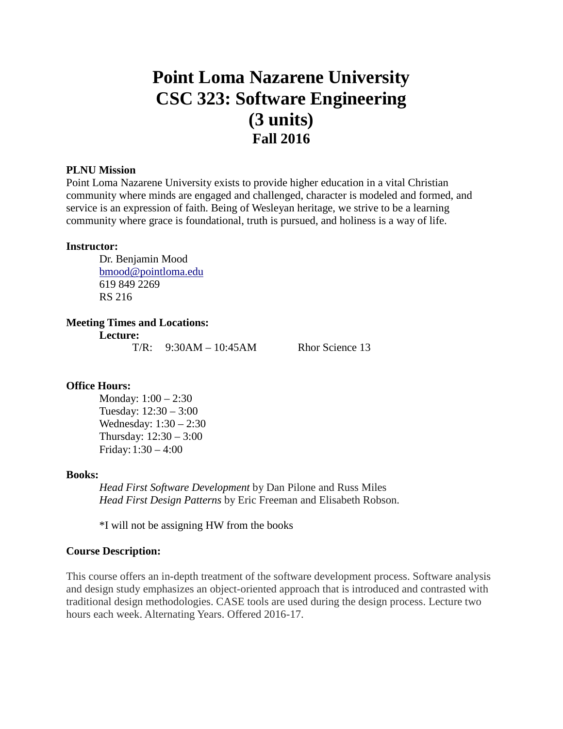# **Point Loma Nazarene University CSC 323: Software Engineering (3 units) Fall 2016**

#### **PLNU Mission**

Point Loma Nazarene University exists to provide higher education in a vital Christian community where minds are engaged and challenged, character is modeled and formed, and service is an expression of faith. Being of Wesleyan heritage, we strive to be a learning community where grace is foundational, truth is pursued, and holiness is a way of life.

#### **Instructor:**

Dr. Benjamin Mood [bmood@pointloma.edu](mailto:bmood@pointloma.edu) 619 849 2269 RS 216

#### **Meeting Times and Locations:**

**Lecture:**

 $T/R: 9:30AM - 10:45AM$  Rhor Science 13

#### **Office Hours:**

Monday: 1:00 – 2:30 Tuesday: 12:30 – 3:00 Wednesday: 1:30 – 2:30 Thursday: 12:30 – 3:00 Friday:1:30 – 4:00

#### **Books:**

*Head First Software Development* by Dan Pilone and Russ Miles *Head First Design Patterns* by Eric Freeman and Elisabeth Robson.

\*I will not be assigning HW from the books

#### **Course Description:**

This course offers an in-depth treatment of the software development process. Software analysis and design study emphasizes an object-oriented approach that is introduced and contrasted with traditional design methodologies. CASE tools are used during the design process. Lecture two hours each week. Alternating Years. Offered 2016-17.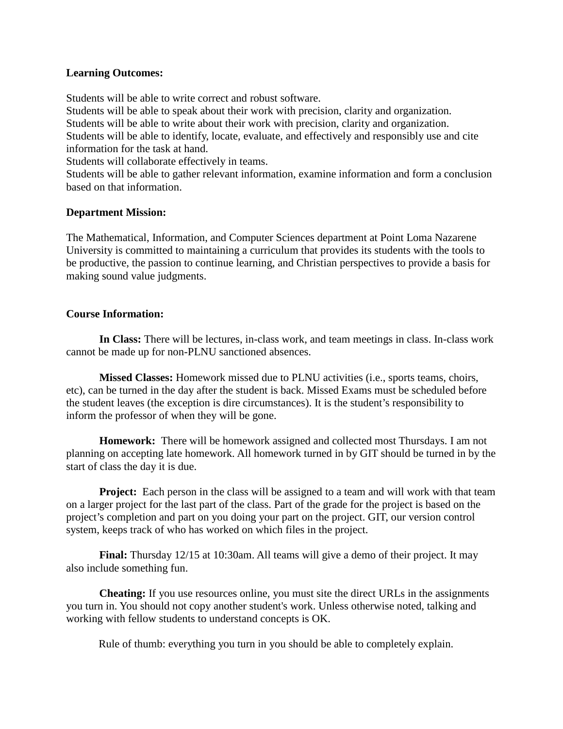#### **Learning Outcomes:**

Students will be able to write correct and robust software.

Students will be able to speak about their work with precision, clarity and organization. Students will be able to write about their work with precision, clarity and organization. Students will be able to identify, locate, evaluate, and effectively and responsibly use and cite information for the task at hand.

Students will collaborate effectively in teams.

Students will be able to gather relevant information, examine information and form a conclusion based on that information.

## **Department Mission:**

The Mathematical, Information, and Computer Sciences department at Point Loma Nazarene University is committed to maintaining a curriculum that provides its students with the tools to be productive, the passion to continue learning, and Christian perspectives to provide a basis for making sound value judgments.

## **Course Information:**

**In Class:** There will be lectures, in-class work, and team meetings in class. In-class work cannot be made up for non-PLNU sanctioned absences.

**Missed Classes:** Homework missed due to PLNU activities (i.e., sports teams, choirs, etc), can be turned in the day after the student is back. Missed Exams must be scheduled before the student leaves (the exception is dire circumstances). It is the student's responsibility to inform the professor of when they will be gone.

**Homework:** There will be homework assigned and collected most Thursdays. I am not planning on accepting late homework. All homework turned in by GIT should be turned in by the start of class the day it is due.

**Project:** Each person in the class will be assigned to a team and will work with that team on a larger project for the last part of the class. Part of the grade for the project is based on the project's completion and part on you doing your part on the project. GIT, our version control system, keeps track of who has worked on which files in the project.

**Final:** Thursday 12/15 at 10:30am. All teams will give a demo of their project. It may also include something fun.

**Cheating:** If you use resources online, you must site the direct URLs in the assignments you turn in. You should not copy another student's work. Unless otherwise noted, talking and working with fellow students to understand concepts is OK.

Rule of thumb: everything you turn in you should be able to completely explain.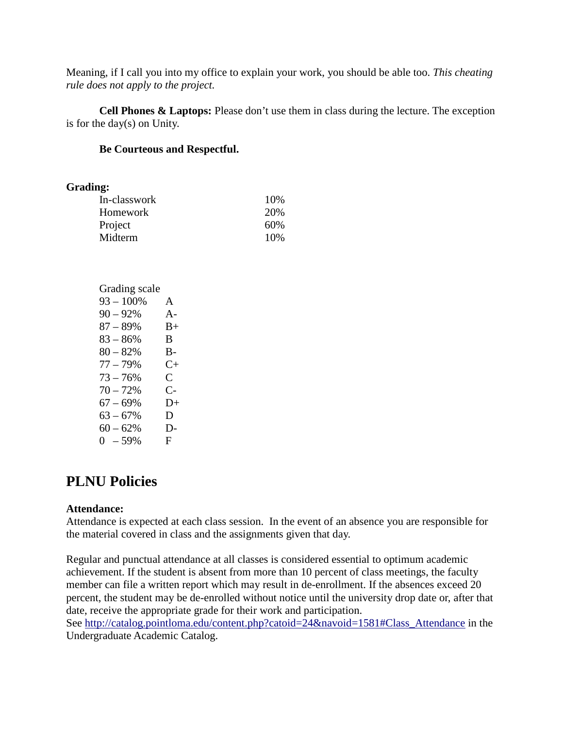Meaning, if I call you into my office to explain your work, you should be able too. *This cheating rule does not apply to the project.*

**Cell Phones & Laptops:** Please don't use them in class during the lecture. The exception is for the day(s) on Unity.

## **Be Courteous and Respectful.**

#### **Grading:**

| . .          |     |
|--------------|-----|
| In-classwork | 10% |
| Homework     | 20% |
| Project      | 60% |
| Midterm      | 10% |
|              |     |

| Grading scale |               |
|---------------|---------------|
| $93 - 100\%$  | A             |
| $90 - 92\%$   | $A -$         |
| $87 - 89%$    | $B+$          |
| $83 - 86\%$   | B             |
| $80 - 82%$    | B-            |
| $77 - 79%$    | $C+$          |
| $73 - 76%$    | $\mathcal{C}$ |
| $70 - 72%$    | $C-$          |
| $67 - 69%$    | $D+$          |
| $63 - 67%$    | D             |
| $60 - 62%$    | $D-$          |
| $0 - 59%$     | F             |

# **PLNU Policies**

## **Attendance:**

Attendance is expected at each class session. In the event of an absence you are responsible for the material covered in class and the assignments given that day.

Regular and punctual attendance at all classes is considered essential to optimum academic achievement. If the student is absent from more than 10 percent of class meetings, the faculty member can file a written report which may result in de-enrollment. If the absences exceed 20 percent, the student may be de-enrolled without notice until the university drop date or, after that date, receive the appropriate grade for their work and participation.

See [http://catalog.pointloma.edu/content.php?catoid=24&navoid=1581#Class\\_Attendance](http://catalog.pointloma.edu/content.php?catoid=24&navoid=1581#Class_Attendance) in the Undergraduate Academic Catalog.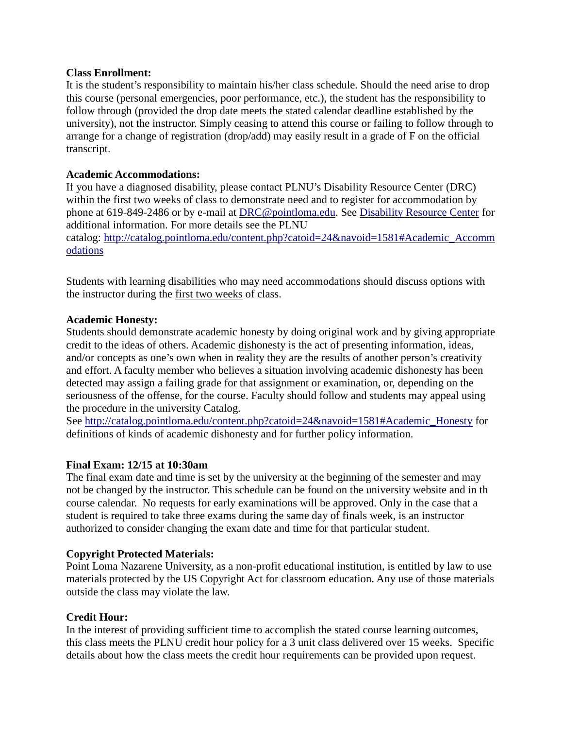## **Class Enrollment:**

It is the student's responsibility to maintain his/her class schedule. Should the need arise to drop this course (personal emergencies, poor performance, etc.), the student has the responsibility to follow through (provided the drop date meets the stated calendar deadline established by the university), not the instructor. Simply ceasing to attend this course or failing to follow through to arrange for a change of registration (drop/add) may easily result in a grade of F on the official transcript.

# **Academic Accommodations:**

If you have a diagnosed disability, please contact PLNU's Disability Resource Center (DRC) within the first two weeks of class to demonstrate need and to register for accommodation by phone at 619-849-2486 or by e-mail at [DRC@pointloma.edu.](mailto:DRC@pointloma.edu) See [Disability Resource Center](http://www.pointloma.edu/experience/offices/administrative-offices/academic-advising-office/disability-resource-center) for additional information. For more details see the PLNU catalog: [http://catalog.pointloma.edu/content.php?catoid=24&navoid=1581#Academic\\_Accomm](http://catalog.pointloma.edu/content.php?catoid=24&navoid=1581#Academic_Accommodations) [odations](http://catalog.pointloma.edu/content.php?catoid=24&navoid=1581#Academic_Accommodations) 

Students with learning disabilities who may need accommodations should discuss options with the instructor during the first two weeks of class.

# **Academic Honesty:**

Students should demonstrate academic honesty by doing original work and by giving appropriate credit to the ideas of others. Academic dishonesty is the act of presenting information, ideas, and/or concepts as one's own when in reality they are the results of another person's creativity and effort. A faculty member who believes a situation involving academic dishonesty has been detected may assign a failing grade for that assignment or examination, or, depending on the seriousness of the offense, for the course. Faculty should follow and students may appeal using the procedure in the university Catalog.

See [http://catalog.pointloma.edu/content.php?catoid=24&navoid=1581#Academic\\_Honesty](http://catalog.pointloma.edu/content.php?catoid=24&navoid=1581#Academic_Honesty) for definitions of kinds of academic dishonesty and for further policy information.

## **Final Exam: 12/15 at 10:30am**

The final exam date and time is set by the university at the beginning of the semester and may not be changed by the instructor. This schedule can be found on the university website and in th course calendar. No requests for early examinations will be approved. Only in the case that a student is required to take three exams during the same day of finals week, is an instructor authorized to consider changing the exam date and time for that particular student.

# **Copyright Protected Materials:**

Point Loma Nazarene University, as a non-profit educational institution, is entitled by law to use materials protected by the US Copyright Act for classroom education. Any use of those materials outside the class may violate the law.

# **Credit Hour:**

In the interest of providing sufficient time to accomplish the stated course learning outcomes, this class meets the PLNU credit hour policy for a 3 unit class delivered over 15 weeks. Specific details about how the class meets the credit hour requirements can be provided upon request.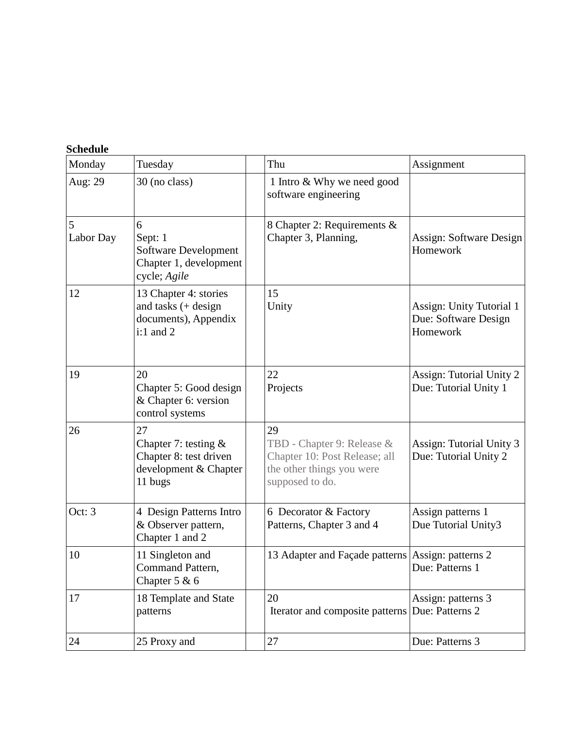| Monday         | Tuesday                                                                                    | Thu                                                                                                               | Assignment                                                          |
|----------------|--------------------------------------------------------------------------------------------|-------------------------------------------------------------------------------------------------------------------|---------------------------------------------------------------------|
| Aug: 29        | 30 (no class)                                                                              | 1 Intro & Why we need good<br>software engineering                                                                |                                                                     |
| 5<br>Labor Day | 6<br>Sept: 1<br><b>Software Development</b><br>Chapter 1, development<br>cycle; Agile      | 8 Chapter 2: Requirements &<br>Chapter 3, Planning,                                                               | Assign: Software Design<br>Homework                                 |
| 12             | 13 Chapter 4: stories<br>and tasks $($ + design<br>documents), Appendix<br>$i:1$ and 2     | 15<br>Unity                                                                                                       | <b>Assign: Unity Tutorial 1</b><br>Due: Software Design<br>Homework |
| 19             | 20<br>Chapter 5: Good design<br>& Chapter 6: version<br>control systems                    | 22<br>Projects                                                                                                    | <b>Assign: Tutorial Unity 2</b><br>Due: Tutorial Unity 1            |
| 26             | 27<br>Chapter 7: testing $&$<br>Chapter 8: test driven<br>development & Chapter<br>11 bugs | 29<br>TBD - Chapter 9: Release &<br>Chapter 10: Post Release; all<br>the other things you were<br>supposed to do. | Assign: Tutorial Unity 3<br>Due: Tutorial Unity 2                   |
| Oct: 3         | 4 Design Patterns Intro<br>& Observer pattern,<br>Chapter 1 and 2                          | 6 Decorator & Factory<br>Patterns, Chapter 3 and 4                                                                | Assign patterns 1<br>Due Tutorial Unity3                            |
| 10             | 11 Singleton and<br>Command Pattern,<br>Chapter $5 & 6$                                    | 13 Adapter and Façade patterns   Assign: patterns 2                                                               | Due: Patterns 1                                                     |
| 17             | 18 Template and State<br>patterns                                                          | 20<br>Iterator and composite patterns                                                                             | Assign: patterns 3<br>Due: Patterns 2                               |
| 24             | 25 Proxy and                                                                               | 27                                                                                                                | Due: Patterns 3                                                     |